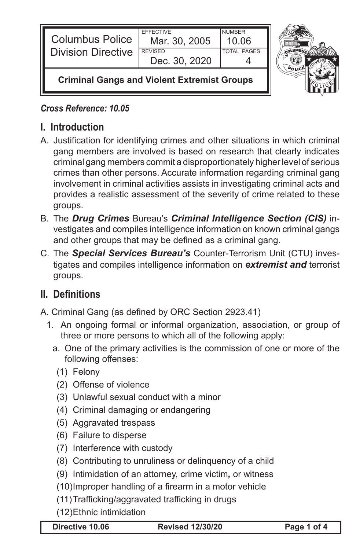| <b>Columbus Police</b><br><b>Division Directive</b> | <b>EFFECTIVE</b><br>Mar. 30, 2005<br><b>REVISED</b> | <b>NUMBER</b><br>10.06<br><b>TOTAL PAGES</b> |  |
|-----------------------------------------------------|-----------------------------------------------------|----------------------------------------------|--|
|                                                     | Dec. 30, 2020                                       |                                              |  |
| <b>Criminal Gangs and Violent Extremist Groups</b>  |                                                     |                                              |  |

#### *Cross Reference: 10.05*

# **I. Introduction**

- A. Justification for identifying crimes and other situations in which criminal gang members are involved is based on research that clearly indicates criminal gang members commit a disproportionately higher level of serious crimes than other persons. Accurate information regarding criminal gang involvement in criminal activities assists in investigating criminal acts and provides a realistic assessment of the severity of crime related to these groups.
- B. The *Drug Crimes* Bureau's *Criminal Intelligence Section (CIS)* investigates and compiles intelligence information on known criminal gangs and other groups that may be defined as a criminal gang.
- C. The **Special Services Bureau's** Counter-Terrorism Unit (CTU) investigates and compiles intelligence information on *extremist and* terrorist groups.

# **II. Definitions**

- A. Criminal Gang (as defined by ORC Section 2923.41)
	- 1. An ongoing formal or informal organization, association, or group of three or more persons to which all of the following apply:
		- a. One of the primary activities is the commission of one or more of the following offenses:
			- (1) Felony
			- (2) Offense of violence
			- (3) Unlawful sexual conduct with a minor
			- (4) Criminal damaging or endangering
			- (5) Aggravated trespass
			- (6) Failure to disperse
			- (7) Interference with custody
			- (8) Contributing to unruliness or delinquency of a child
			- (9) Intimidation of an attorney, crime victim*,* or witness
			- (10) Improper handling of a firearm in a motor vehicle
			- (11) Trafficking/aggravated trafficking in drugs
		- (12) Ethnic intimidation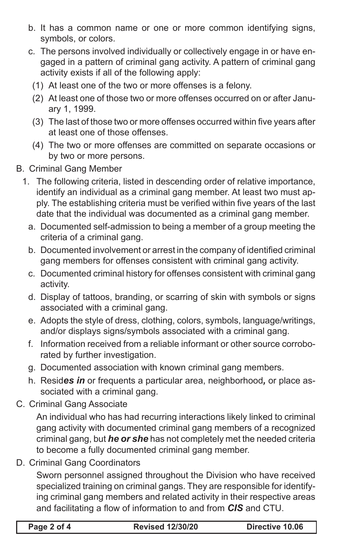- b. It has a common name or one or more common identifying signs, symbols, or colors.
- c. The persons involved individually or collectively engage in or have engaged in a pattern of criminal gang activity. A pattern of criminal gang activity exists if all of the following apply:
	- (1) At least one of the two or more offenses is a felony.
	- (2) At least one of those two or more offenses occurred on or after January 1, 1999.
	- (3) The last of those two or more offenses occurred within five years after at least one of those offenses.
	- (4) The two or more offenses are committed on separate occasions or by two or more persons.
- B. Criminal Gang Member
	- 1. The following criteria, listed in descending order of relative importance, identify an individual as a criminal gang member. At least two must apply. The establishing criteria must be verified within five years of the last date that the individual was documented as a criminal gang member.
		- a. Documented self-admission to being a member of a group meeting the criteria of a criminal gang.
		- b. Documented involvement or arrest in the company of identified criminal gang members for offenses consistent with criminal gang activity.
		- c. Documented criminal history for offenses consistent with criminal gang activity.
		- d. Display of tattoos, branding, or scarring of skin with symbols or signs associated with a criminal gang.
		- e. Adopts the style of dress, clothing, colors, symbols, language/writings, and/or displays signs/symbols associated with a criminal gang.
		- f. Information received from a reliable informant or other source corroborated by further investigation.
		- g. Documented association with known criminal gang members.
		- h. Resides *in* or frequents a particular area, neighborhood, or place associated with a criminal gang.
- C. Criminal Gang Associate

 An individual who has had recurring interactions likely linked to criminal gang activity with documented criminal gang members of a recognized criminal gang, but *he or she* has not completely met the needed criteria to become a fully documented criminal gang member.

D. Criminal Gang Coordinators

 Sworn personnel assigned throughout the Division who have received specialized training on criminal gangs. They are responsible for identifying criminal gang members and related activity in their respective areas and facilitating a flow of information to and from *CIS* and CTU.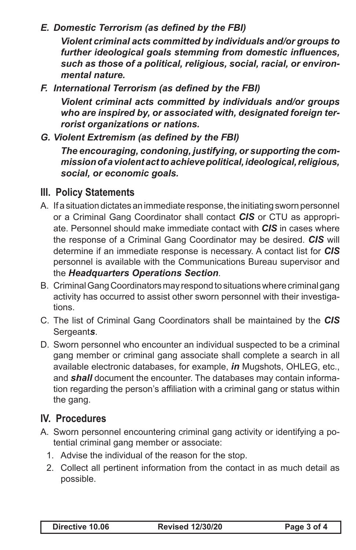### *E. Domestic Terrorism (as defined by the FBI)*

 *Violent criminal acts committed by individuals and/or groups to further ideological goals stemming from domestic influences, such as those of a political, religious, social, racial, or environmental nature.*

*F. International Terrorism (as defined by the FBI)*

 *Violent criminal acts committed by individuals and/or groups who are inspired by, or associated with, designated foreign terrorist organizations or nations.*

*G. Violent Extremism (as defined by the FBI)*

 *The encouraging, condoning, justifying, or supporting the commission of a violent act to achieve political, ideological, religious, social, or economic goals.*

### **III. Policy Statements**

- A. If a situation dictates an immediate response, the initiating sworn personnel or a Criminal Gang Coordinator shall contact *CIS* or CTU as appropriate. Personnel should make immediate contact with *CIS* in cases where the response of a Criminal Gang Coordinator may be desired. *CIS* will determine if an immediate response is necessary. A contact list for *CIS* personnel is available with the Communications Bureau supervisor and the *Headquarters Operations Section*.
- B. Criminal Gang Coordinators may respond to situations where criminal gang activity has occurred to assist other sworn personnel with their investigations.
- C. The list of Criminal Gang Coordinators shall be maintained by the *CIS* Sergeant*s*.
- D. Sworn personnel who encounter an individual suspected to be a criminal gang member or criminal gang associate shall complete a search in all available electronic databases, for example, *in* Mugshots, OHLEG, etc., and *shall* document the encounter. The databases may contain information regarding the person's affiliation with a criminal gang or status within the gang.

# **IV. Procedures**

- A. Sworn personnel encountering criminal gang activity or identifying a potential criminal gang member or associate:
	- 1. Advise the individual of the reason for the stop.
	- 2. Collect all pertinent information from the contact in as much detail as possible.